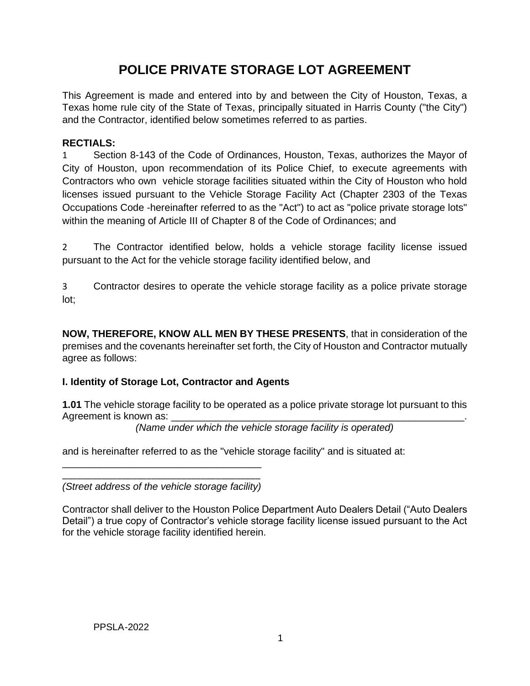# **POLICE PRIVATE STORAGE LOT AGREEMENT**

This Agreement is made and entered into by and between the City of Houston, Texas, a Texas home rule city of the State of Texas, principally situated in Harris County ("the City") and the Contractor, identified below sometimes referred to as parties.

## **RECTIALS:**

1 Section 8-143 of the Code of Ordinances, Houston, Texas, authorizes the Mayor of City of Houston, upon recommendation of its Police Chief, to execute agreements with Contractors who own vehicle storage facilities situated within the City of Houston who hold licenses issued pursuant to the Vehicle Storage Facility Act (Chapter 2303 of the Texas Occupations Code -hereinafter referred to as the "Act") to act as "police private storage lots" within the meaning of Article III of Chapter 8 of the Code of Ordinances; and

2 The Contractor identified below, holds a vehicle storage facility license issued pursuant to the Act for the vehicle storage facility identified below, and

3 Contractor desires to operate the vehicle storage facility as a police private storage lot;

**NOW, THEREFORE, KNOW ALL MEN BY THESE PRESENTS**, that in consideration of the premises and the covenants hereinafter set forth, the City of Houston and Contractor mutually agree as follows:

# **I. Identity of Storage Lot, Contractor and Agents**

**1.01** The vehicle storage facility to be operated as a police private storage lot pursuant to this Agreement is known as:

*(Name under which the vehicle storage facility is operated)*

and is hereinafter referred to as the "vehicle storage facility" and is situated at:

\_\_\_\_\_\_\_\_\_\_\_\_\_\_\_\_\_\_\_\_\_\_\_\_\_\_\_\_\_\_\_\_\_\_\_\_\_\_\_\_ *(Street address of the vehicle storage facility)* 

\_\_\_\_\_\_\_\_\_\_\_\_\_\_\_\_\_\_\_\_\_\_\_\_\_\_\_\_\_\_\_\_\_\_\_\_

Contractor shall deliver to the Houston Police Department Auto Dealers Detail ("Auto Dealers Detail") a true copy of Contractor's vehicle storage facility license issued pursuant to the Act for the vehicle storage facility identified herein.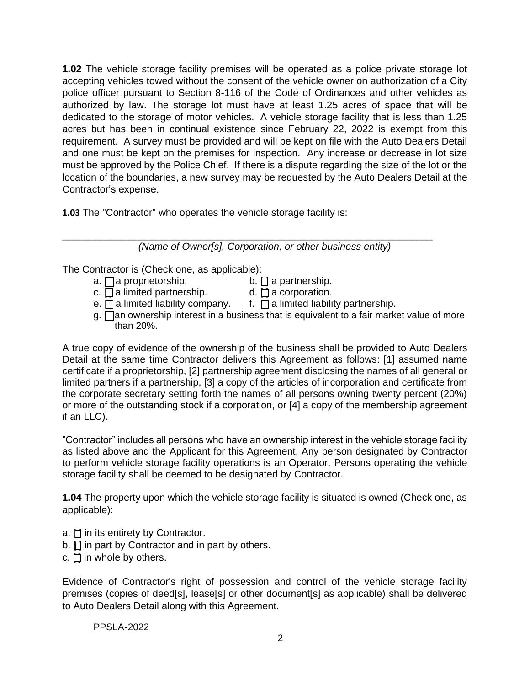**1.02** The vehicle storage facility premises will be operated as a police private storage lot accepting vehicles towed without the consent of the vehicle owner on authorization of a City police officer pursuant to Section 8-116 of the Code of Ordinances and other vehicles as authorized by law. The storage lot must have at least 1.25 acres of space that will be dedicated to the storage of motor vehicles. A vehicle storage facility that is less than 1.25 acres but has been in continual existence since February 22, 2022 is exempt from this requirement. A survey must be provided and will be kept on file with the Auto Dealers Detail and one must be kept on the premises for inspection. Any increase or decrease in lot size must be approved by the Police Chief. If there is a dispute regarding the size of the lot or the location of the boundaries, a new survey may be requested by the Auto Dealers Detail at the Contractor's expense.

**1.03** The "Contractor" who operates the vehicle storage facility is:

\_\_\_\_\_\_\_\_\_\_\_\_\_\_\_\_\_\_\_\_\_\_\_\_\_\_\_\_\_\_\_\_\_\_\_\_\_\_\_\_\_\_\_\_\_\_\_\_\_\_\_\_\_\_\_\_\_\_\_\_\_\_\_\_\_\_\_ *(Name of Owner[s], Corporation, or other business entity)*

The Contractor is (Check one, as applicable):

- $a. \Box a$  proprietorship. b.  $\Box a$  partnership.
- c.  $\overline{\bigcap}$  a limited partnership.  $\qquad \qquad$  d.  $\bigcap$  a corporation.
- e.  $\Box$  a limited liability company. f.  $\Box$  a limited liability partnership.
- $g.$   $\Box$  an ownership interest in a business that is equivalent to a fair market value of more than 20%.

A true copy of evidence of the ownership of the business shall be provided to Auto Dealers Detail at the same time Contractor delivers this Agreement as follows: [1] assumed name certificate if a proprietorship, [2] partnership agreement disclosing the names of all general or limited partners if a partnership, [3] a copy of the articles of incorporation and certificate from the corporate secretary setting forth the names of all persons owning twenty percent (20%) or more of the outstanding stock if a corporation, or [4] a copy of the membership agreement if an LLC).

"Contractor" includes all persons who have an ownership interest in the vehicle storage facility as listed above and the Applicant for this Agreement. Any person designated by Contractor to perform vehicle storage facility operations is an Operator. Persons operating the vehicle storage facility shall be deemed to be designated by Contractor.

**1.04** The property upon which the vehicle storage facility is situated is owned (Check one, as applicable):

- a.  $\square$  in its entirety by Contractor.
- b.  $\Box$  in part by Contractor and in part by others.
- $c.$   $\Box$  in whole by others.

Evidence of Contractor's right of possession and control of the vehicle storage facility premises (copies of deed[s], lease[s] or other document[s] as applicable) shall be delivered to Auto Dealers Detail along with this Agreement.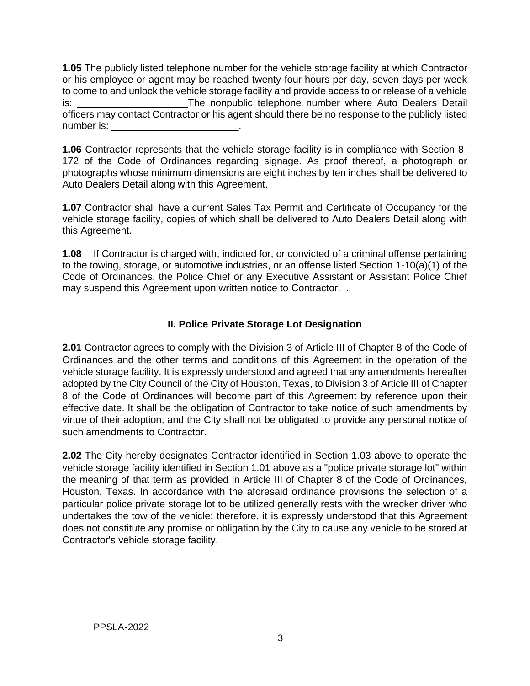**1.05** The publicly listed telephone number for the vehicle storage facility at which Contractor or his employee or agent may be reached twenty-four hours per day, seven days per week to come to and unlock the vehicle storage facility and provide access to or release of a vehicle is: \_\_\_\_\_\_\_\_\_\_\_\_\_\_\_\_\_\_\_\_\_\_\_\_\_\_\_\_\_\_\_The nonpublic telephone number where Auto Dealers Detail officers may contact Contractor or his agent should there be no response to the publicly listed number is:  $\blacksquare$ 

**1.06** Contractor represents that the vehicle storage facility is in compliance with Section 8- 172 of the Code of Ordinances regarding signage. As proof thereof, a photograph or photographs whose minimum dimensions are eight inches by ten inches shall be delivered to Auto Dealers Detail along with this Agreement.

**1.07** Contractor shall have a current Sales Tax Permit and Certificate of Occupancy for the vehicle storage facility, copies of which shall be delivered to Auto Dealers Detail along with this Agreement.

**1.08** If Contractor is charged with, indicted for, or convicted of a criminal offense pertaining to the towing, storage, or automotive industries, or an offense listed Section 1-10(a)(1) of the Code of Ordinances, the Police Chief or any Executive Assistant or Assistant Police Chief may suspend this Agreement upon written notice to Contractor. .

## **II. Police Private Storage Lot Designation**

**2.01** Contractor agrees to comply with the Division 3 of Article III of Chapter 8 of the Code of Ordinances and the other terms and conditions of this Agreement in the operation of the vehicle storage facility. It is expressly understood and agreed that any amendments hereafter adopted by the City Council of the City of Houston, Texas, to Division 3 of Article III of Chapter 8 of the Code of Ordinances will become part of this Agreement by reference upon their effective date. It shall be the obligation of Contractor to take notice of such amendments by virtue of their adoption, and the City shall not be obligated to provide any personal notice of such amendments to Contractor.

**2.02** The City hereby designates Contractor identified in Section 1.03 above to operate the vehicle storage facility identified in Section 1.01 above as a "police private storage lot" within the meaning of that term as provided in Article III of Chapter 8 of the Code of Ordinances, Houston, Texas. In accordance with the aforesaid ordinance provisions the selection of a particular police private storage lot to be utilized generally rests with the wrecker driver who undertakes the tow of the vehicle; therefore, it is expressly understood that this Agreement does not constitute any promise or obligation by the City to cause any vehicle to be stored at Contractor's vehicle storage facility.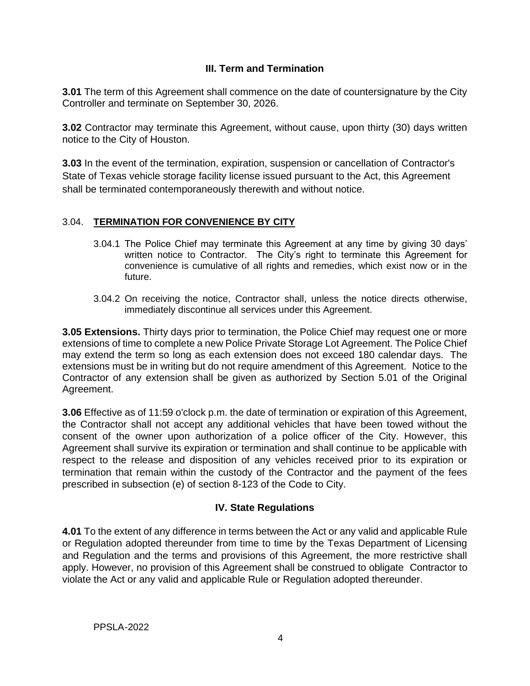### **III. Term and Termination**

**3.01** The term of this Agreement shall commence on the date of countersignature by the City Controller and terminate on September 30, 2026.

**3.02** Contractor may terminate this Agreement, without cause, upon thirty (30) days written notice to the City of Houston.

**3.03** In the event of the termination, expiration, suspension or cancellation of Contractor's State of Texas vehicle storage facility license issued pursuant to the Act, this Agreement shall be terminated contemporaneously therewith and without notice.

#### 3.04. **TERMINATION FOR CONVENIENCE BY CITY**

- 3.04.1 The Police Chief may terminate this Agreement at any time by giving 30 days' written notice to Contractor. The City's right to terminate this Agreement for convenience is cumulative of all rights and remedies, which exist now or in the future.
- 3.04.2 On receiving the notice, Contractor shall, unless the notice directs otherwise, immediately discontinue all services under this Agreement.

**3.05 Extensions.** Thirty days prior to termination, the Police Chief may request one or more extensions of time to complete a new Police Private Storage Lot Agreement. The Police Chief may extend the term so long as each extension does not exceed 180 calendar days. The extensions must be in writing but do not require amendment of this Agreement. Notice to the Contractor of any extension shall be given as authorized by Section 5.01 of the Original Agreement.

**3.06** Effective as of 11:59 o'clock p.m. the date of termination or expiration of this Agreement, the Contractor shall not accept any additional vehicles that have been towed without the consent of the owner upon authorization of a police officer of the City. However, this Agreement shall survive its expiration or termination and shall continue to be applicable with respect to the release and disposition of any vehicles received prior to its expiration or termination that remain within the custody of the Contractor and the payment of the fees prescribed in subsection (e) of section 8-123 of the Code to City.

### **IV. State Regulations**

**4.01** To the extent of any difference in terms between the Act or any valid and applicable Rule or Regulation adopted thereunder from time to time by the Texas Department of Licensing and Regulation and the terms and provisions of this Agreement, the more restrictive shall apply. However, no provision of this Agreement shall be construed to obligate Contractor to violate the Act or any valid and applicable Rule or Regulation adopted thereunder.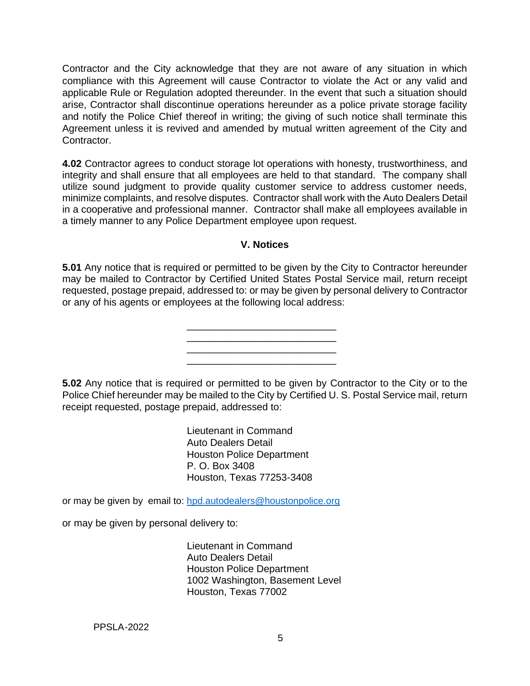Contractor and the City acknowledge that they are not aware of any situation in which compliance with this Agreement will cause Contractor to violate the Act or any valid and applicable Rule or Regulation adopted thereunder. In the event that such a situation should arise, Contractor shall discontinue operations hereunder as a police private storage facility and notify the Police Chief thereof in writing; the giving of such notice shall terminate this Agreement unless it is revived and amended by mutual written agreement of the City and Contractor.

**4.02** Contractor agrees to conduct storage lot operations with honesty, trustworthiness, and integrity and shall ensure that all employees are held to that standard. The company shall utilize sound judgment to provide quality customer service to address customer needs, minimize complaints, and resolve disputes. Contractor shall work with the Auto Dealers Detail in a cooperative and professional manner. Contractor shall make all employees available in a timely manner to any Police Department employee upon request.

#### **V. Notices**

**5.01** Any notice that is required or permitted to be given by the City to Contractor hereunder may be mailed to Contractor by Certified United States Postal Service mail, return receipt requested, postage prepaid, addressed to: or may be given by personal delivery to Contractor or any of his agents or employees at the following local address:

\_\_\_\_\_\_\_\_\_\_\_\_\_\_\_\_\_\_\_\_\_\_\_\_\_\_\_

\_\_\_\_\_\_\_\_\_\_\_\_\_\_\_\_\_\_\_\_\_\_\_\_\_\_\_ \_\_\_\_\_\_\_\_\_\_\_\_\_\_\_\_\_\_\_\_\_\_\_\_\_\_\_

**5.02** Any notice that is required or permitted to be given by Contractor to the City or to the Police Chief hereunder may be mailed to the City by Certified U. S. Postal Service mail, return receipt requested, postage prepaid, addressed to:

> Lieutenant in Command Auto Dealers Detail Houston Police Department P. O. Box 3408 Houston, Texas 77253-3408

or may be given by email to: [hpd.autodealers@houstonpolice.org](mailto:hpd.autodealers@houstonpolice.org)

or may be given by personal delivery to:

Lieutenant in Command Auto Dealers Detail Houston Police Department 1002 Washington, Basement Level Houston, Texas 77002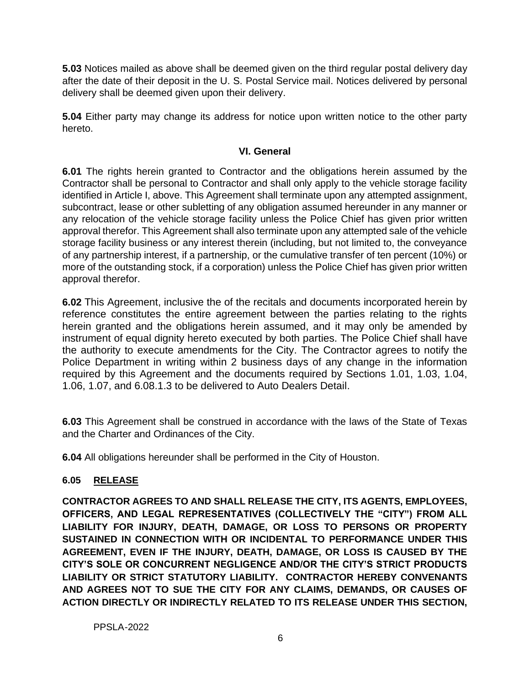**5.03** Notices mailed as above shall be deemed given on the third regular postal delivery day after the date of their deposit in the U. S. Postal Service mail. Notices delivered by personal delivery shall be deemed given upon their delivery.

**5.04** Either party may change its address for notice upon written notice to the other party hereto.

#### **VI. General**

**6.01** The rights herein granted to Contractor and the obligations herein assumed by the Contractor shall be personal to Contractor and shall only apply to the vehicle storage facility identified in Article I, above. This Agreement shall terminate upon any attempted assignment, subcontract, lease or other subletting of any obligation assumed hereunder in any manner or any relocation of the vehicle storage facility unless the Police Chief has given prior written approval therefor. This Agreement shall also terminate upon any attempted sale of the vehicle storage facility business or any interest therein (including, but not limited to, the conveyance of any partnership interest, if a partnership, or the cumulative transfer of ten percent (10%) or more of the outstanding stock, if a corporation) unless the Police Chief has given prior written approval therefor.

**6.02** This Agreement, inclusive the of the recitals and documents incorporated herein by reference constitutes the entire agreement between the parties relating to the rights herein granted and the obligations herein assumed, and it may only be amended by instrument of equal dignity hereto executed by both parties. The Police Chief shall have the authority to execute amendments for the City. The Contractor agrees to notify the Police Department in writing within 2 business days of any change in the information required by this Agreement and the documents required by Sections 1.01, 1.03, 1.04, 1.06, 1.07, and 6.08.1.3 to be delivered to Auto Dealers Detail.

**6.03** This Agreement shall be construed in accordance with the laws of the State of Texas and the Charter and Ordinances of the City.

**6.04** All obligations hereunder shall be performed in the City of Houston.

### **6.05 RELEASE**

**CONTRACTOR AGREES TO AND SHALL RELEASE THE CITY, ITS AGENTS, EMPLOYEES, OFFICERS, AND LEGAL REPRESENTATIVES (COLLECTIVELY THE "CITY") FROM ALL LIABILITY FOR INJURY, DEATH, DAMAGE, OR LOSS TO PERSONS OR PROPERTY SUSTAINED IN CONNECTION WITH OR INCIDENTAL TO PERFORMANCE UNDER THIS AGREEMENT, EVEN IF THE INJURY, DEATH, DAMAGE, OR LOSS IS CAUSED BY THE CITY'S SOLE OR CONCURRENT NEGLIGENCE AND/OR THE CITY'S STRICT PRODUCTS LIABILITY OR STRICT STATUTORY LIABILITY. CONTRACTOR HEREBY CONVENANTS AND AGREES NOT TO SUE THE CITY FOR ANY CLAIMS, DEMANDS, OR CAUSES OF ACTION DIRECTLY OR INDIRECTLY RELATED TO ITS RELEASE UNDER THIS SECTION,**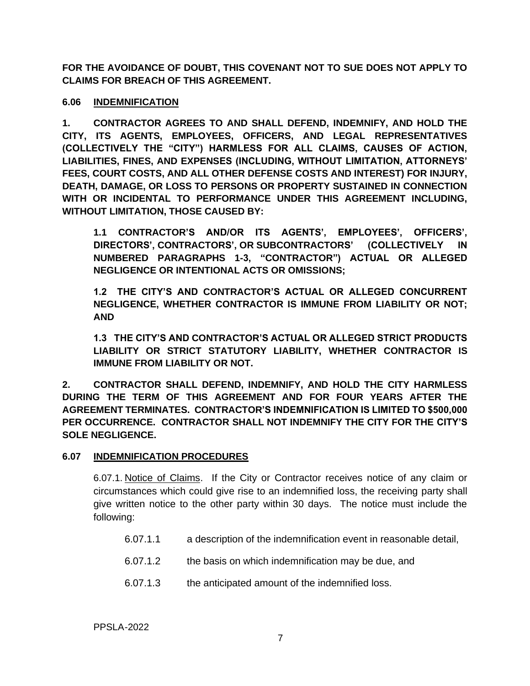**FOR THE AVOIDANCE OF DOUBT, THIS COVENANT NOT TO SUE DOES NOT APPLY TO CLAIMS FOR BREACH OF THIS AGREEMENT.**

#### **6.06 INDEMNIFICATION**

**1. CONTRACTOR AGREES TO AND SHALL DEFEND, INDEMNIFY, AND HOLD THE CITY, ITS AGENTS, EMPLOYEES, OFFICERS, AND LEGAL REPRESENTATIVES (COLLECTIVELY THE "CITY") HARMLESS FOR ALL CLAIMS, CAUSES OF ACTION, LIABILITIES, FINES, AND EXPENSES (INCLUDING, WITHOUT LIMITATION, ATTORNEYS' FEES, COURT COSTS, AND ALL OTHER DEFENSE COSTS AND INTEREST) FOR INJURY, DEATH, DAMAGE, OR LOSS TO PERSONS OR PROPERTY SUSTAINED IN CONNECTION WITH OR INCIDENTAL TO PERFORMANCE UNDER THIS AGREEMENT INCLUDING, WITHOUT LIMITATION, THOSE CAUSED BY:**

**1.1 CONTRACTOR'S AND/OR ITS AGENTS', EMPLOYEES', OFFICERS', DIRECTORS', CONTRACTORS', OR SUBCONTRACTORS' (COLLECTIVELY IN NUMBERED PARAGRAPHS 1-3, "CONTRACTOR") ACTUAL OR ALLEGED NEGLIGENCE OR INTENTIONAL ACTS OR OMISSIONS;**

**1.2 THE CITY'S AND CONTRACTOR'S ACTUAL OR ALLEGED CONCURRENT NEGLIGENCE, WHETHER CONTRACTOR IS IMMUNE FROM LIABILITY OR NOT; AND**

**1.3 THE CITY'S AND CONTRACTOR'S ACTUAL OR ALLEGED STRICT PRODUCTS LIABILITY OR STRICT STATUTORY LIABILITY, WHETHER CONTRACTOR IS IMMUNE FROM LIABILITY OR NOT.**

**2. CONTRACTOR SHALL DEFEND, INDEMNIFY, AND HOLD THE CITY HARMLESS DURING THE TERM OF THIS AGREEMENT AND FOR FOUR YEARS AFTER THE AGREEMENT TERMINATES. CONTRACTOR'S INDEMNIFICATION IS LIMITED TO \$500,000 PER OCCURRENCE. CONTRACTOR SHALL NOT INDEMNIFY THE CITY FOR THE CITY'S SOLE NEGLIGENCE.**

### **6.07 INDEMNIFICATION PROCEDURES**

6.07.1. Notice of Claims. If the City or Contractor receives notice of any claim or circumstances which could give rise to an indemnified loss, the receiving party shall give written notice to the other party within 30 days. The notice must include the following:

- 6.07.1.1 a description of the indemnification event in reasonable detail,
- 6.07.1.2 the basis on which indemnification may be due, and
- 6.07.1.3 the anticipated amount of the indemnified loss.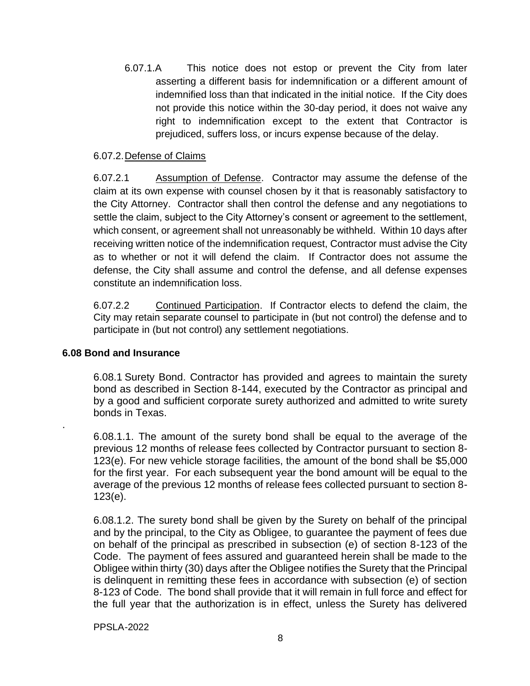6.07.1.A This notice does not estop or prevent the City from later asserting a different basis for indemnification or a different amount of indemnified loss than that indicated in the initial notice. If the City does not provide this notice within the 30-day period, it does not waive any right to indemnification except to the extent that Contractor is prejudiced, suffers loss, or incurs expense because of the delay.

#### 6.07.2.Defense of Claims

6.07.2.1 Assumption of Defense. Contractor may assume the defense of the claim at its own expense with counsel chosen by it that is reasonably satisfactory to the City Attorney. Contractor shall then control the defense and any negotiations to settle the claim, subject to the City Attorney's consent or agreement to the settlement, which consent, or agreement shall not unreasonably be withheld. Within 10 days after receiving written notice of the indemnification request, Contractor must advise the City as to whether or not it will defend the claim. If Contractor does not assume the defense, the City shall assume and control the defense, and all defense expenses constitute an indemnification loss.

6.07.2.2 Continued Participation. If Contractor elects to defend the claim, the City may retain separate counsel to participate in (but not control) the defense and to participate in (but not control) any settlement negotiations.

#### **6.08 Bond and Insurance**

.

6.08.1 Surety Bond. Contractor has provided and agrees to maintain the surety bond as described in Section 8-144, executed by the Contractor as principal and by a good and sufficient corporate surety authorized and admitted to write surety bonds in Texas.

6.08.1.1. The amount of the surety bond shall be equal to the average of the previous 12 months of release fees collected by Contractor pursuant to section 8- 123(e). For new vehicle storage facilities, the amount of the bond shall be \$5,000 for the first year. For each subsequent year the bond amount will be equal to the average of the previous 12 months of release fees collected pursuant to section 8- 123(e).

6.08.1.2. The surety bond shall be given by the Surety on behalf of the principal and by the principal, to the City as Obligee, to guarantee the payment of fees due on behalf of the principal as prescribed in subsection (e) of section 8-123 of the Code. The payment of fees assured and guaranteed herein shall be made to the Obligee within thirty (30) days after the Obligee notifies the Surety that the Principal is delinquent in remitting these fees in accordance with subsection (e) of section 8-123 of Code. The bond shall provide that it will remain in full force and effect for the full year that the authorization is in effect, unless the Surety has delivered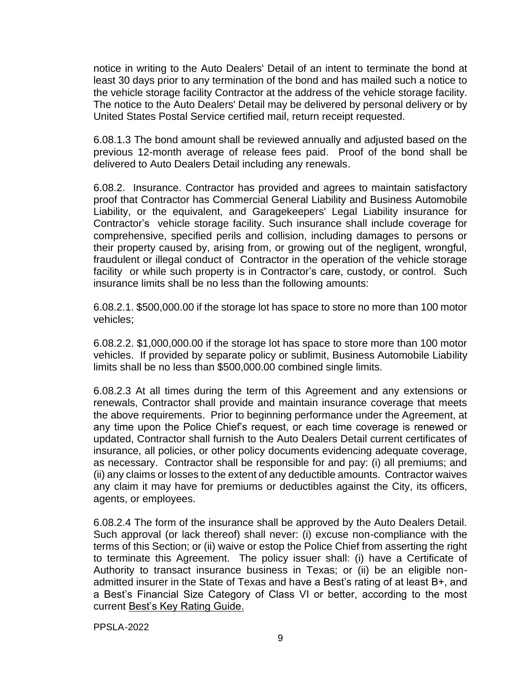notice in writing to the Auto Dealers' Detail of an intent to terminate the bond at least 30 days prior to any termination of the bond and has mailed such a notice to the vehicle storage facility Contractor at the address of the vehicle storage facility. The notice to the Auto Dealers' Detail may be delivered by personal delivery or by United States Postal Service certified mail, return receipt requested.

6.08.1.3 The bond amount shall be reviewed annually and adjusted based on the previous 12-month average of release fees paid. Proof of the bond shall be delivered to Auto Dealers Detail including any renewals.

6.08.2. Insurance. Contractor has provided and agrees to maintain satisfactory proof that Contractor has Commercial General Liability and Business Automobile Liability, or the equivalent, and Garagekeepers' Legal Liability insurance for Contractor's vehicle storage facility. Such insurance shall include coverage for comprehensive, specified perils and collision, including damages to persons or their property caused by, arising from, or growing out of the negligent, wrongful, fraudulent or illegal conduct of Contractor in the operation of the vehicle storage facility or while such property is in Contractor's care, custody, or control. Such insurance limits shall be no less than the following amounts:

6.08.2.1. \$500,000.00 if the storage lot has space to store no more than 100 motor vehicles;

6.08.2.2. \$1,000,000.00 if the storage lot has space to store more than 100 motor vehicles. If provided by separate policy or sublimit, Business Automobile Liability limits shall be no less than \$500,000.00 combined single limits.

6.08.2.3 At all times during the term of this Agreement and any extensions or renewals, Contractor shall provide and maintain insurance coverage that meets the above requirements. Prior to beginning performance under the Agreement, at any time upon the Police Chief's request, or each time coverage is renewed or updated, Contractor shall furnish to the Auto Dealers Detail current certificates of insurance, all policies, or other policy documents evidencing adequate coverage, as necessary. Contractor shall be responsible for and pay: (i) all premiums; and (ii) any claims or losses to the extent of any deductible amounts. Contractor waives any claim it may have for premiums or deductibles against the City, its officers, agents, or employees.

6.08.2.4 The form of the insurance shall be approved by the Auto Dealers Detail. Such approval (or lack thereof) shall never: (i) excuse non-compliance with the terms of this Section; or (ii) waive or estop the Police Chief from asserting the right to terminate this Agreement. The policy issuer shall: (i) have a Certificate of Authority to transact insurance business in Texas; or (ii) be an eligible nonadmitted insurer in the State of Texas and have a Best's rating of at least B+, and a Best's Financial Size Category of Class VI or better, according to the most current Best's Key Rating Guide.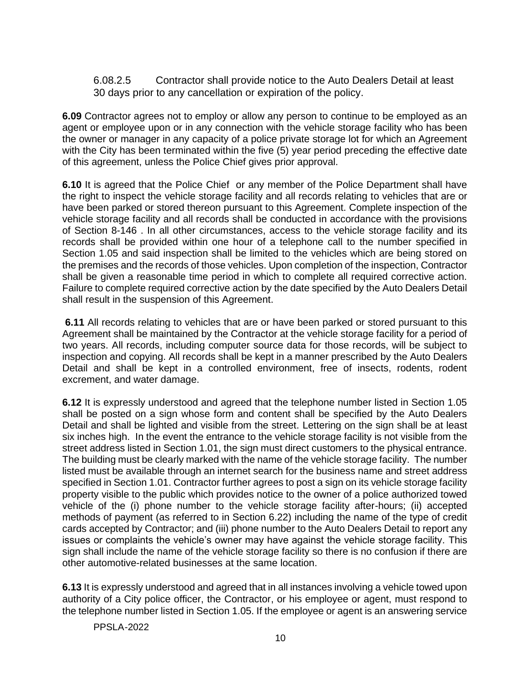6.08.2.5 Contractor shall provide notice to the Auto Dealers Detail at least 30 days prior to any cancellation or expiration of the policy.

**6.09** Contractor agrees not to employ or allow any person to continue to be employed as an agent or employee upon or in any connection with the vehicle storage facility who has been the owner or manager in any capacity of a police private storage lot for which an Agreement with the City has been terminated within the five (5) year period preceding the effective date of this agreement, unless the Police Chief gives prior approval.

**6.10** It is agreed that the Police Chief or any member of the Police Department shall have the right to inspect the vehicle storage facility and all records relating to vehicles that are or have been parked or stored thereon pursuant to this Agreement. Complete inspection of the vehicle storage facility and all records shall be conducted in accordance with the provisions of Section 8-146 . In all other circumstances, access to the vehicle storage facility and its records shall be provided within one hour of a telephone call to the number specified in Section 1.05 and said inspection shall be limited to the vehicles which are being stored on the premises and the records of those vehicles. Upon completion of the inspection, Contractor shall be given a reasonable time period in which to complete all required corrective action. Failure to complete required corrective action by the date specified by the Auto Dealers Detail shall result in the suspension of this Agreement.

**6.11** All records relating to vehicles that are or have been parked or stored pursuant to this Agreement shall be maintained by the Contractor at the vehicle storage facility for a period of two years. All records, including computer source data for those records, will be subject to inspection and copying. All records shall be kept in a manner prescribed by the Auto Dealers Detail and shall be kept in a controlled environment, free of insects, rodents, rodent excrement, and water damage.

**6.12** It is expressly understood and agreed that the telephone number listed in Section 1.05 shall be posted on a sign whose form and content shall be specified by the Auto Dealers Detail and shall be lighted and visible from the street. Lettering on the sign shall be at least six inches high. In the event the entrance to the vehicle storage facility is not visible from the street address listed in Section 1.01, the sign must direct customers to the physical entrance. The building must be clearly marked with the name of the vehicle storage facility. The number listed must be available through an internet search for the business name and street address specified in Section 1.01. Contractor further agrees to post a sign on its vehicle storage facility property visible to the public which provides notice to the owner of a police authorized towed vehicle of the (i) phone number to the vehicle storage facility after-hours; (ii) accepted methods of payment (as referred to in Section 6.22) including the name of the type of credit cards accepted by Contractor; and (iii) phone number to the Auto Dealers Detail to report any issues or complaints the vehicle's owner may have against the vehicle storage facility. This sign shall include the name of the vehicle storage facility so there is no confusion if there are other automotive-related businesses at the same location.

**6.13** It is expressly understood and agreed that in all instances involving a vehicle towed upon authority of a City police officer, the Contractor, or his employee or agent, must respond to the telephone number listed in Section 1.05. If the employee or agent is an answering service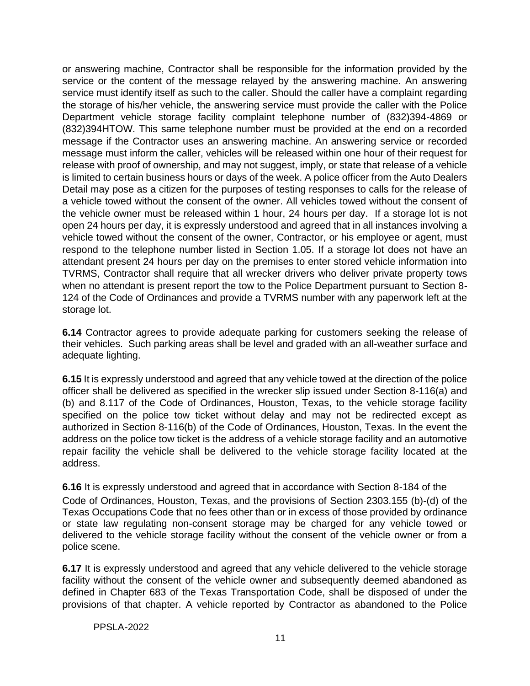or answering machine, Contractor shall be responsible for the information provided by the service or the content of the message relayed by the answering machine. An answering service must identify itself as such to the caller. Should the caller have a complaint regarding the storage of his/her vehicle, the answering service must provide the caller with the Police Department vehicle storage facility complaint telephone number of (832)394-4869 or (832)394HTOW. This same telephone number must be provided at the end on a recorded message if the Contractor uses an answering machine. An answering service or recorded message must inform the caller, vehicles will be released within one hour of their request for release with proof of ownership, and may not suggest, imply, or state that release of a vehicle is limited to certain business hours or days of the week. A police officer from the Auto Dealers Detail may pose as a citizen for the purposes of testing responses to calls for the release of a vehicle towed without the consent of the owner. All vehicles towed without the consent of the vehicle owner must be released within 1 hour, 24 hours per day. If a storage lot is not open 24 hours per day, it is expressly understood and agreed that in all instances involving a vehicle towed without the consent of the owner, Contractor, or his employee or agent, must respond to the telephone number listed in Section 1.05. If a storage lot does not have an attendant present 24 hours per day on the premises to enter stored vehicle information into TVRMS, Contractor shall require that all wrecker drivers who deliver private property tows when no attendant is present report the tow to the Police Department pursuant to Section 8- 124 of the Code of Ordinances and provide a TVRMS number with any paperwork left at the storage lot.

**6.14** Contractor agrees to provide adequate parking for customers seeking the release of their vehicles. Such parking areas shall be level and graded with an all-weather surface and adequate lighting.

**6.15** It is expressly understood and agreed that any vehicle towed at the direction of the police officer shall be delivered as specified in the wrecker slip issued under Section 8-116(a) and (b) and 8.117 of the Code of Ordinances, Houston, Texas, to the vehicle storage facility specified on the police tow ticket without delay and may not be redirected except as authorized in Section 8-116(b) of the Code of Ordinances, Houston, Texas. In the event the address on the police tow ticket is the address of a vehicle storage facility and an automotive repair facility the vehicle shall be delivered to the vehicle storage facility located at the address.

**6.16** It is expressly understood and agreed that in accordance with Section 8-184 of the Code of Ordinances, Houston, Texas, and the provisions of Section 2303.155 (b)-(d) of the Texas Occupations Code that no fees other than or in excess of those provided by ordinance or state law regulating non-consent storage may be charged for any vehicle towed or delivered to the vehicle storage facility without the consent of the vehicle owner or from a police scene.

**6.17** It is expressly understood and agreed that any vehicle delivered to the vehicle storage facility without the consent of the vehicle owner and subsequently deemed abandoned as defined in Chapter 683 of the Texas Transportation Code, shall be disposed of under the provisions of that chapter. A vehicle reported by Contractor as abandoned to the Police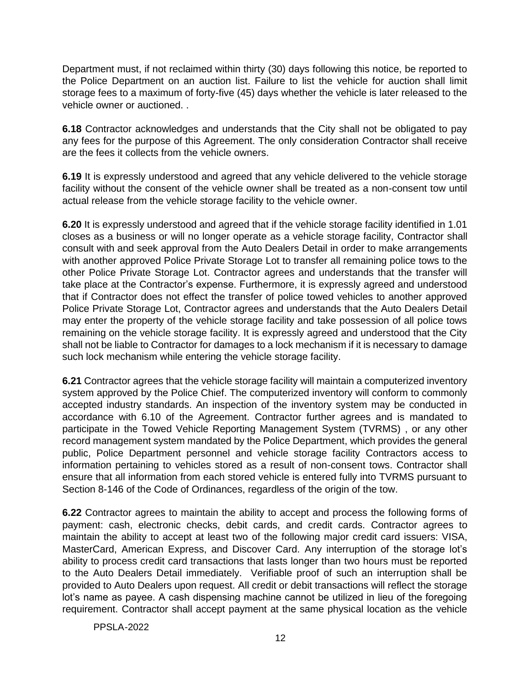Department must, if not reclaimed within thirty (30) days following this notice, be reported to the Police Department on an auction list. Failure to list the vehicle for auction shall limit storage fees to a maximum of forty-five (45) days whether the vehicle is later released to the vehicle owner or auctioned. .

**6.18** Contractor acknowledges and understands that the City shall not be obligated to pay any fees for the purpose of this Agreement. The only consideration Contractor shall receive are the fees it collects from the vehicle owners.

**6.19** It is expressly understood and agreed that any vehicle delivered to the vehicle storage facility without the consent of the vehicle owner shall be treated as a non-consent tow until actual release from the vehicle storage facility to the vehicle owner.

**6.20** It is expressly understood and agreed that if the vehicle storage facility identified in 1.01 closes as a business or will no longer operate as a vehicle storage facility, Contractor shall consult with and seek approval from the Auto Dealers Detail in order to make arrangements with another approved Police Private Storage Lot to transfer all remaining police tows to the other Police Private Storage Lot. Contractor agrees and understands that the transfer will take place at the Contractor's expense. Furthermore, it is expressly agreed and understood that if Contractor does not effect the transfer of police towed vehicles to another approved Police Private Storage Lot, Contractor agrees and understands that the Auto Dealers Detail may enter the property of the vehicle storage facility and take possession of all police tows remaining on the vehicle storage facility. It is expressly agreed and understood that the City shall not be liable to Contractor for damages to a lock mechanism if it is necessary to damage such lock mechanism while entering the vehicle storage facility.

**6.21** Contractor agrees that the vehicle storage facility will maintain a computerized inventory system approved by the Police Chief. The computerized inventory will conform to commonly accepted industry standards. An inspection of the inventory system may be conducted in accordance with 6.10 of the Agreement. Contractor further agrees and is mandated to participate in the Towed Vehicle Reporting Management System (TVRMS) , or any other record management system mandated by the Police Department, which provides the general public, Police Department personnel and vehicle storage facility Contractors access to information pertaining to vehicles stored as a result of non-consent tows. Contractor shall ensure that all information from each stored vehicle is entered fully into TVRMS pursuant to Section 8-146 of the Code of Ordinances, regardless of the origin of the tow.

**6.22** Contractor agrees to maintain the ability to accept and process the following forms of payment: cash, electronic checks, debit cards, and credit cards. Contractor agrees to maintain the ability to accept at least two of the following major credit card issuers: VISA, MasterCard, American Express, and Discover Card. Any interruption of the storage lot's ability to process credit card transactions that lasts longer than two hours must be reported to the Auto Dealers Detail immediately. Verifiable proof of such an interruption shall be provided to Auto Dealers upon request. All credit or debit transactions will reflect the storage lot's name as payee. A cash dispensing machine cannot be utilized in lieu of the foregoing requirement. Contractor shall accept payment at the same physical location as the vehicle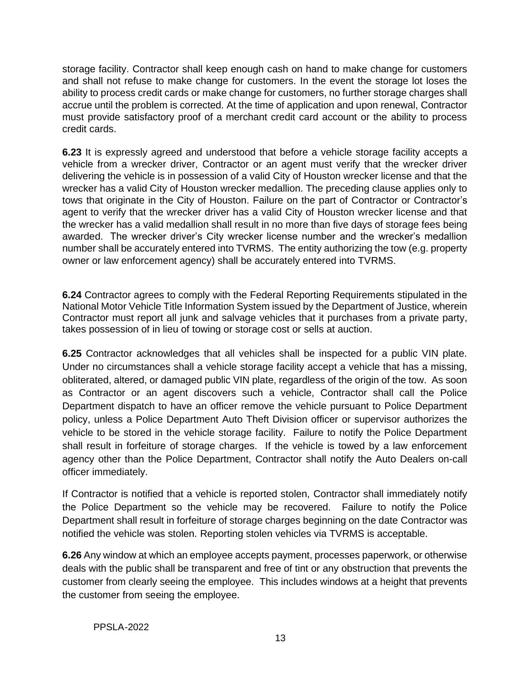storage facility. Contractor shall keep enough cash on hand to make change for customers and shall not refuse to make change for customers. In the event the storage lot loses the ability to process credit cards or make change for customers, no further storage charges shall accrue until the problem is corrected. At the time of application and upon renewal, Contractor must provide satisfactory proof of a merchant credit card account or the ability to process credit cards.

**6.23** It is expressly agreed and understood that before a vehicle storage facility accepts a vehicle from a wrecker driver, Contractor or an agent must verify that the wrecker driver delivering the vehicle is in possession of a valid City of Houston wrecker license and that the wrecker has a valid City of Houston wrecker medallion. The preceding clause applies only to tows that originate in the City of Houston. Failure on the part of Contractor or Contractor's agent to verify that the wrecker driver has a valid City of Houston wrecker license and that the wrecker has a valid medallion shall result in no more than five days of storage fees being awarded. The wrecker driver's City wrecker license number and the wrecker's medallion number shall be accurately entered into TVRMS. The entity authorizing the tow (e.g. property owner or law enforcement agency) shall be accurately entered into TVRMS.

**6.24** Contractor agrees to comply with the Federal Reporting Requirements stipulated in the National Motor Vehicle Title Information System issued by the Department of Justice, wherein Contractor must report all junk and salvage vehicles that it purchases from a private party, takes possession of in lieu of towing or storage cost or sells at auction.

**6.25** Contractor acknowledges that all vehicles shall be inspected for a public VIN plate. Under no circumstances shall a vehicle storage facility accept a vehicle that has a missing, obliterated, altered, or damaged public VIN plate, regardless of the origin of the tow. As soon as Contractor or an agent discovers such a vehicle, Contractor shall call the Police Department dispatch to have an officer remove the vehicle pursuant to Police Department policy, unless a Police Department Auto Theft Division officer or supervisor authorizes the vehicle to be stored in the vehicle storage facility. Failure to notify the Police Department shall result in forfeiture of storage charges. If the vehicle is towed by a law enforcement agency other than the Police Department, Contractor shall notify the Auto Dealers on-call officer immediately.

If Contractor is notified that a vehicle is reported stolen, Contractor shall immediately notify the Police Department so the vehicle may be recovered. Failure to notify the Police Department shall result in forfeiture of storage charges beginning on the date Contractor was notified the vehicle was stolen. Reporting stolen vehicles via TVRMS is acceptable.

**6.26** Any window at which an employee accepts payment, processes paperwork, or otherwise deals with the public shall be transparent and free of tint or any obstruction that prevents the customer from clearly seeing the employee. This includes windows at a height that prevents the customer from seeing the employee.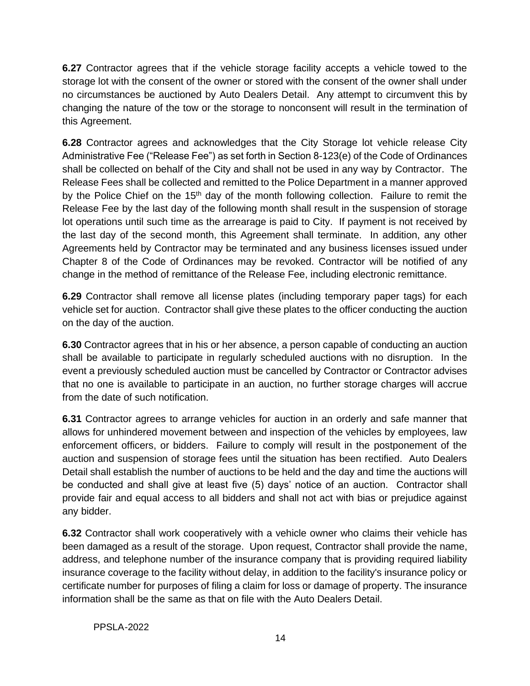**6.27** Contractor agrees that if the vehicle storage facility accepts a vehicle towed to the storage lot with the consent of the owner or stored with the consent of the owner shall under no circumstances be auctioned by Auto Dealers Detail. Any attempt to circumvent this by changing the nature of the tow or the storage to nonconsent will result in the termination of this Agreement.

**6.28** Contractor agrees and acknowledges that the City Storage lot vehicle release City Administrative Fee ("Release Fee") as set forth in Section 8-123(e) of the Code of Ordinances shall be collected on behalf of the City and shall not be used in any way by Contractor. The Release Fees shall be collected and remitted to the Police Department in a manner approved by the Police Chief on the 15<sup>th</sup> day of the month following collection. Failure to remit the Release Fee by the last day of the following month shall result in the suspension of storage lot operations until such time as the arrearage is paid to City. If payment is not received by the last day of the second month, this Agreement shall terminate. In addition, any other Agreements held by Contractor may be terminated and any business licenses issued under Chapter 8 of the Code of Ordinances may be revoked. Contractor will be notified of any change in the method of remittance of the Release Fee, including electronic remittance.

**6.29** Contractor shall remove all license plates (including temporary paper tags) for each vehicle set for auction. Contractor shall give these plates to the officer conducting the auction on the day of the auction.

**6.30** Contractor agrees that in his or her absence, a person capable of conducting an auction shall be available to participate in regularly scheduled auctions with no disruption. In the event a previously scheduled auction must be cancelled by Contractor or Contractor advises that no one is available to participate in an auction, no further storage charges will accrue from the date of such notification.

**6.31** Contractor agrees to arrange vehicles for auction in an orderly and safe manner that allows for unhindered movement between and inspection of the vehicles by employees, law enforcement officers, or bidders. Failure to comply will result in the postponement of the auction and suspension of storage fees until the situation has been rectified. Auto Dealers Detail shall establish the number of auctions to be held and the day and time the auctions will be conducted and shall give at least five (5) days' notice of an auction. Contractor shall provide fair and equal access to all bidders and shall not act with bias or prejudice against any bidder.

**6.32** Contractor shall work cooperatively with a vehicle owner who claims their vehicle has been damaged as a result of the storage. Upon request, Contractor shall provide the name, address, and telephone number of the insurance company that is providing required liability insurance coverage to the facility without delay, in addition to the facility's insurance policy or certificate number for purposes of filing a claim for loss or damage of property. The insurance information shall be the same as that on file with the Auto Dealers Detail.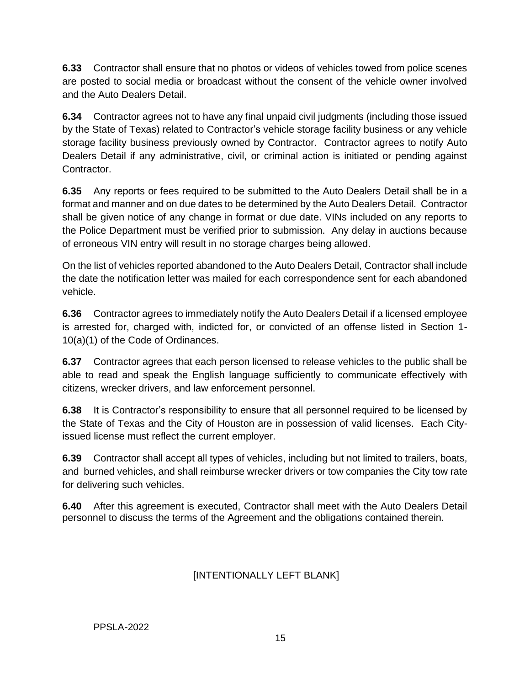**6.33** Contractor shall ensure that no photos or videos of vehicles towed from police scenes are posted to social media or broadcast without the consent of the vehicle owner involved and the Auto Dealers Detail.

**6.34** Contractor agrees not to have any final unpaid civil judgments (including those issued by the State of Texas) related to Contractor's vehicle storage facility business or any vehicle storage facility business previously owned by Contractor. Contractor agrees to notify Auto Dealers Detail if any administrative, civil, or criminal action is initiated or pending against Contractor.

**6.35** Any reports or fees required to be submitted to the Auto Dealers Detail shall be in a format and manner and on due dates to be determined by the Auto Dealers Detail. Contractor shall be given notice of any change in format or due date. VINs included on any reports to the Police Department must be verified prior to submission. Any delay in auctions because of erroneous VIN entry will result in no storage charges being allowed.

On the list of vehicles reported abandoned to the Auto Dealers Detail, Contractor shall include the date the notification letter was mailed for each correspondence sent for each abandoned vehicle.

**6.36** Contractor agrees to immediately notify the Auto Dealers Detail if a licensed employee is arrested for, charged with, indicted for, or convicted of an offense listed in Section 1- 10(a)(1) of the Code of Ordinances.

**6.37** Contractor agrees that each person licensed to release vehicles to the public shall be able to read and speak the English language sufficiently to communicate effectively with citizens, wrecker drivers, and law enforcement personnel.

**6.38** It is Contractor's responsibility to ensure that all personnel required to be licensed by the State of Texas and the City of Houston are in possession of valid licenses. Each Cityissued license must reflect the current employer.

**6.39** Contractor shall accept all types of vehicles, including but not limited to trailers, boats, and burned vehicles, and shall reimburse wrecker drivers or tow companies the City tow rate for delivering such vehicles.

**6.40** After this agreement is executed, Contractor shall meet with the Auto Dealers Detail personnel to discuss the terms of the Agreement and the obligations contained therein.

# [INTENTIONALLY LEFT BLANK]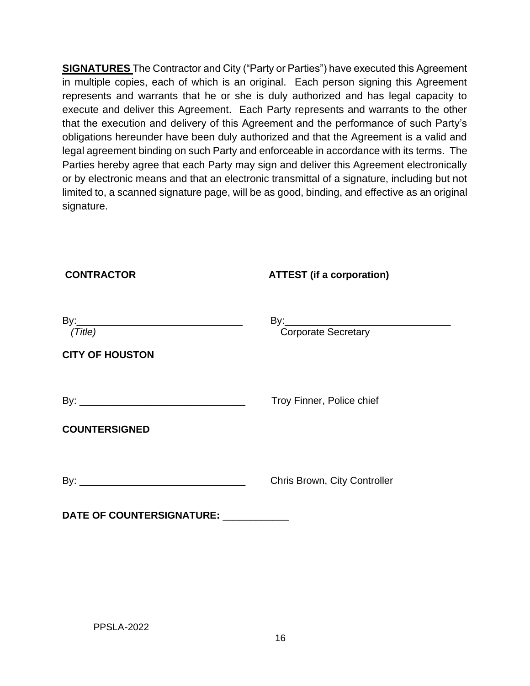**SIGNATURES** The Contractor and City ("Party or Parties") have executed this Agreement in multiple copies, each of which is an original. Each person signing this Agreement represents and warrants that he or she is duly authorized and has legal capacity to execute and deliver this Agreement. Each Party represents and warrants to the other that the execution and delivery of this Agreement and the performance of such Party's obligations hereunder have been duly authorized and that the Agreement is a valid and legal agreement binding on such Party and enforceable in accordance with its terms. The Parties hereby agree that each Party may sign and deliver this Agreement electronically or by electronic means and that an electronic transmittal of a signature, including but not limited to, a scanned signature page, will be as good, binding, and effective as an original signature.

| <b>CONTRACTOR</b>                 | <b>ATTEST</b> (if a corporation) |
|-----------------------------------|----------------------------------|
| (Title)<br><b>CITY OF HOUSTON</b> | By:<br>Corporate Secretary       |
| <b>COUNTERSIGNED</b>              | Troy Finner, Police chief        |
|                                   | Chris Brown, City Controller     |
| <b>DATE OF COUNTERSIGNATURE:</b>  |                                  |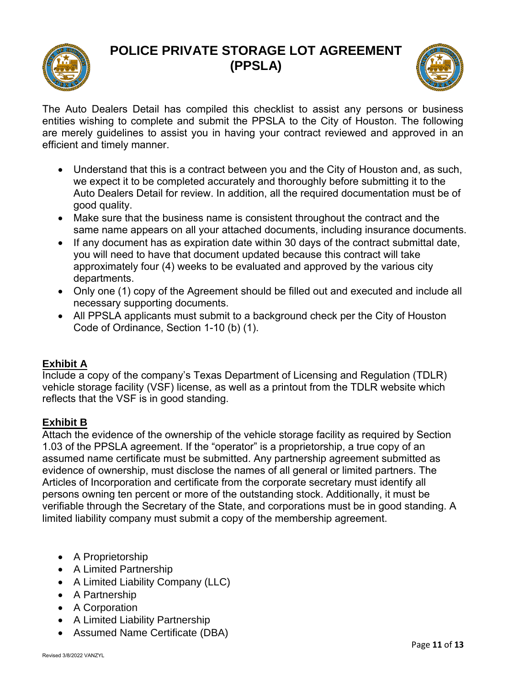# **POLICE PRIVATE STORAGE LOT AGREEMENT (PPSLA)**





The Auto Dealers Detail has compiled this checklist to assist any persons or business entities wishing to complete and submit the PPSLA to the City of Houston. The following are merely guidelines to assist you in having your contract reviewed and approved in an efficient and timely manner.

- Understand that this is a contract between you and the City of Houston and, as such, we expect it to be completed accurately and thoroughly before submitting it to the Auto Dealers Detail for review. In addition, all the required documentation must be of good quality.
- Make sure that the business name is consistent throughout the contract and the same name appears on all your attached documents, including insurance documents.
- If any document has as expiration date within 30 days of the contract submittal date, you will need to have that document updated because this contract will take approximately four (4) weeks to be evaluated and approved by the various city departments.
- Only one (1) copy of the Agreement should be filled out and executed and include all necessary supporting documents.
- All PPSLA applicants must submit to a background check per the City of Houston Code of Ordinance, Section 1-10 (b) (1).

# **Exhibit A**

Include a copy of the company's Texas Department of Licensing and Regulation (TDLR) vehicle storage facility (VSF) license, as well as a printout from the TDLR website which reflects that the VSF is in good standing.

# **Exhibit B**

Attach the evidence of the ownership of the vehicle storage facility as required by Section 1.03 of the PPSLA agreement. If the "operator" is a proprietorship, a true copy of an assumed name certificate must be submitted. Any partnership agreement submitted as evidence of ownership, must disclose the names of all general or limited partners. The Articles of Incorporation and certificate from the corporate secretary must identify all persons owning ten percent or more of the outstanding stock. Additionally, it must be verifiable through the Secretary of the State, and corporations must be in good standing. A limited liability company must submit a copy of the membership agreement.

- A Proprietorship
- A Limited Partnership
- A Limited Liability Company (LLC)
- A Partnership
- A Corporation
- A Limited Liability Partnership
- Assumed Name Certificate (DBA)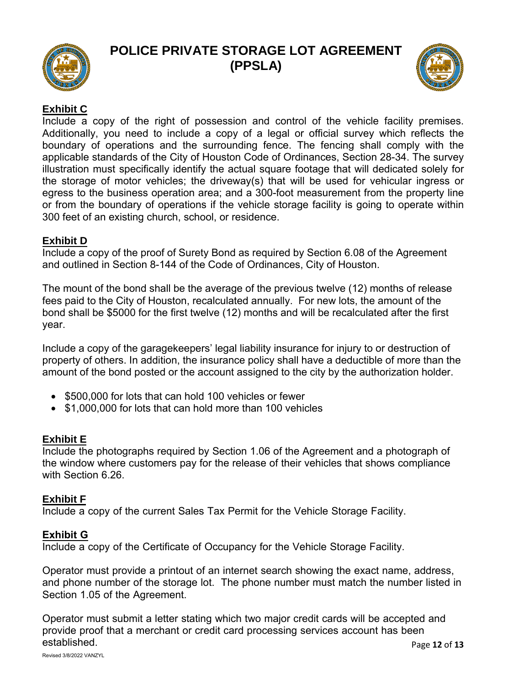

# **POLICE PRIVATE STORAGE LOT AGREEMENT (PPSLA)**



# **Exhibit C**

Include a copy of the right of possession and control of the vehicle facility premises. Additionally, you need to include a copy of a legal or official survey which reflects the boundary of operations and the surrounding fence. The fencing shall comply with the applicable standards of the City of Houston Code of Ordinances, Section 28-34. The survey illustration must specifically identify the actual square footage that will dedicated solely for the storage of motor vehicles; the driveway(s) that will be used for vehicular ingress or egress to the business operation area; and a 300-foot measurement from the property line or from the boundary of operations if the vehicle storage facility is going to operate within 300 feet of an existing church, school, or residence.

# **Exhibit D**

Include a copy of the proof of Surety Bond as required by Section 6.08 of the Agreement and outlined in Section 8-144 of the Code of Ordinances, City of Houston.

The mount of the bond shall be the average of the previous twelve (12) months of release fees paid to the City of Houston, recalculated annually. For new lots, the amount of the bond shall be \$5000 for the first twelve (12) months and will be recalculated after the first year.

Include a copy of the garagekeepers' legal liability insurance for injury to or destruction of property of others. In addition, the insurance policy shall have a deductible of more than the amount of the bond posted or the account assigned to the city by the authorization holder.

- \$500,000 for lots that can hold 100 vehicles or fewer
- \$1,000,000 for lots that can hold more than 100 vehicles

# **Exhibit E**

Include the photographs required by Section 1.06 of the Agreement and a photograph of the window where customers pay for the release of their vehicles that shows compliance with Section 6.26.

# **Exhibit F**

Include a copy of the current Sales Tax Permit for the Vehicle Storage Facility.

# **Exhibit G**

Include a copy of the Certificate of Occupancy for the Vehicle Storage Facility.

Operator must provide a printout of an internet search showing the exact name, address, and phone number of the storage lot. The phone number must match the number listed in Section 1.05 of the Agreement.

Operator must submit a letter stating which two major credit cards will be accepted and provide proof that a merchant or credit card processing services account has been established.